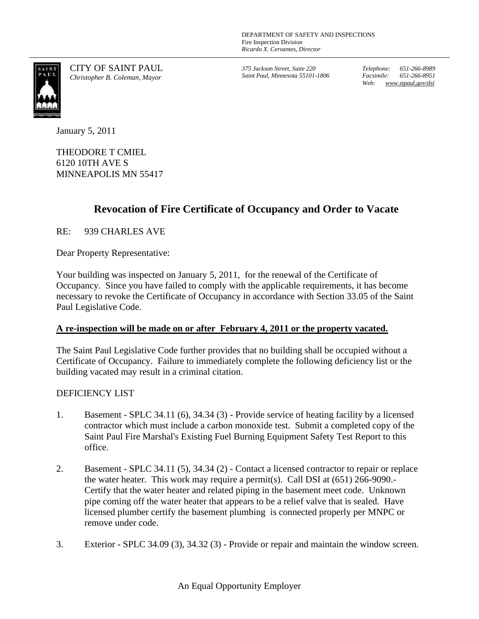

CITY OF SAINT PAUL *Christopher B. Coleman, Mayor*

*375 Jackson Street, Suite 220 Saint Paul, Minnesota 55101-1806* *Telephone: 651-266-8989 Facsimile: 651-266-8951 Web: www.stpaul.gov/dsi*

January 5, 2011

THEODORE T CMIEL 6120 10TH AVE S MINNEAPOLIS MN 55417

## **Revocation of Fire Certificate of Occupancy and Order to Vacate**

RE: 939 CHARLES AVE

Dear Property Representative:

Your building was inspected on January 5, 2011, for the renewal of the Certificate of Occupancy. Since you have failed to comply with the applicable requirements, it has become necessary to revoke the Certificate of Occupancy in accordance with Section 33.05 of the Saint Paul Legislative Code.

## **A re-inspection will be made on or after February 4, 2011 or the property vacated.**

The Saint Paul Legislative Code further provides that no building shall be occupied without a Certificate of Occupancy. Failure to immediately complete the following deficiency list or the building vacated may result in a criminal citation.

## DEFICIENCY LIST

- 1. Basement SPLC 34.11 (6), 34.34 (3) Provide service of heating facility by a licensed contractor which must include a carbon monoxide test. Submit a completed copy of the Saint Paul Fire Marshal's Existing Fuel Burning Equipment Safety Test Report to this office.
- 2. Basement SPLC 34.11 (5), 34.34 (2) Contact a licensed contractor to repair or replace the water heater. This work may require a permit(s). Call DSI at (651) 266-9090.- Certify that the water heater and related piping in the basement meet code. Unknown pipe coming off the water heater that appears to be a relief valve that is sealed. Have licensed plumber certify the basement plumbing is connected properly per MNPC or remove under code.
- 3. Exterior SPLC 34.09 (3), 34.32 (3) Provide or repair and maintain the window screen.